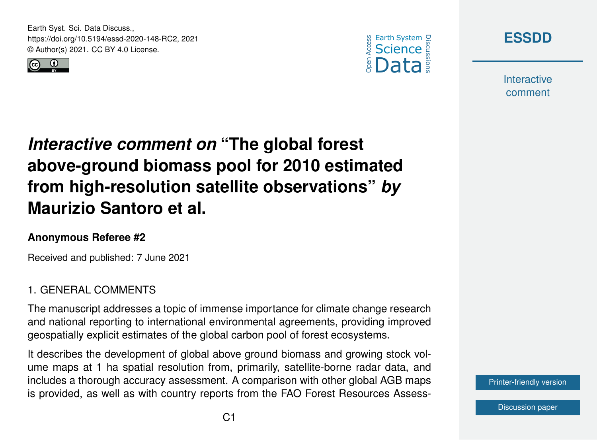Earth Syst. Sci. Data Discuss., https://doi.org/10.5194/essd-2020-148-RC2, 2021 © Author(s) 2021. CC BY 4.0 License.







**Interactive** comment

# *Interactive comment on* **"The global forest above-ground biomass pool for 2010 estimated from high-resolution satellite observations"** *by* **Maurizio Santoro et al.**

### **Anonymous Referee #2**

Received and published: 7 June 2021

## 1. GENERAL COMMENTS

The manuscript addresses a topic of immense importance for climate change research and national reporting to international environmental agreements, providing improved geospatially explicit estimates of the global carbon pool of forest ecosystems.

It describes the development of global above ground biomass and growing stock volume maps at 1 ha spatial resolution from, primarily, satellite-borne radar data, and includes a thorough accuracy assessment. A comparison with other global AGB maps is provided, as well as with country reports from the FAO Forest Resources Assess-

[Printer-friendly version](https://essd.copernicus.org/preprints/essd-2020-148/essd-2020-148-RC2-print.pdf)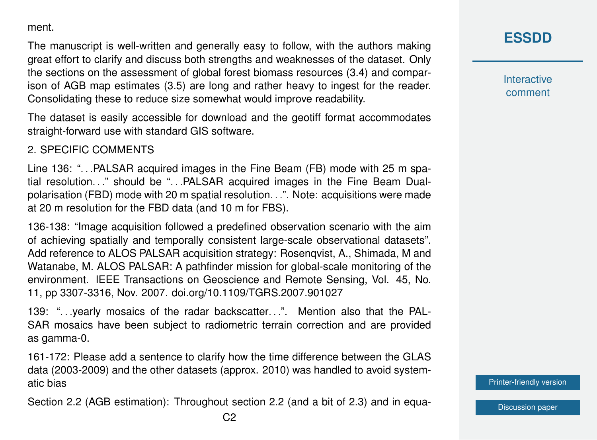ment.

The manuscript is well-written and generally easy to follow, with the authors making great effort to clarify and discuss both strengths and weaknesses of the dataset. Only the sections on the assessment of global forest biomass resources (3.4) and comparison of AGB map estimates (3.5) are long and rather heavy to ingest for the reader. Consolidating these to reduce size somewhat would improve readability.

The dataset is easily accessible for download and the geotiff format accommodates straight-forward use with standard GIS software.

#### 2. SPECIFIC COMMENTS

Line 136: "... PALSAR acquired images in the Fine Beam (FB) mode with 25 m spatial resolution..." should be "...PALSAR acquired images in the Fine Beam Dualpolarisation (FBD) mode with 20 m spatial resolution. . .". Note: acquisitions were made at 20 m resolution for the FBD data (and 10 m for FBS).

136-138: "Image acquisition followed a predefined observation scenario with the aim of achieving spatially and temporally consistent large-scale observational datasets". Add reference to ALOS PALSAR acquisition strategy: Rosenqvist, A., Shimada, M and Watanabe, M. ALOS PALSAR: A pathfinder mission for global-scale monitoring of the environment. IEEE Transactions on Geoscience and Remote Sensing, Vol. 45, No. 11, pp 3307-3316, Nov. 2007. doi.org/10.1109/TGRS.2007.901027

139: "... yearly mosaics of the radar backscatter...". Mention also that the PAL-SAR mosaics have been subject to radiometric terrain correction and are provided as gamma-0.

161-172: Please add a sentence to clarify how the time difference between the GLAS data (2003-2009) and the other datasets (approx. 2010) was handled to avoid systematic bias

Section 2.2 (AGB estimation): Throughout section 2.2 (and a bit of 2.3) and in equa-

**[ESSDD](https://essd.copernicus.org/preprints/)**

**Interactive** comment

[Printer-friendly version](https://essd.copernicus.org/preprints/essd-2020-148/essd-2020-148-RC2-print.pdf)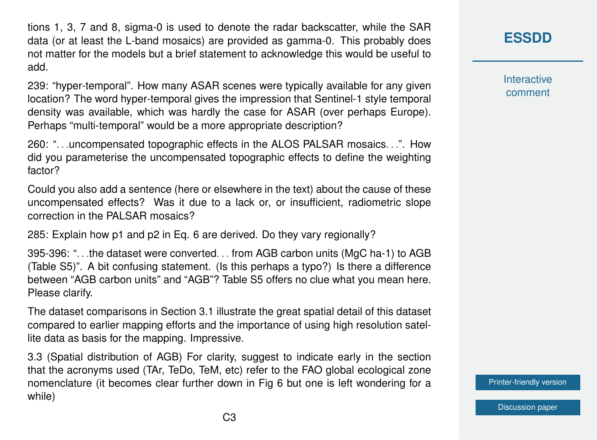tions 1, 3, 7 and 8, sigma-0 is used to denote the radar backscatter, while the SAR data (or at least the L-band mosaics) are provided as gamma-0. This probably does not matter for the models but a brief statement to acknowledge this would be useful to add.

239: "hyper-temporal". How many ASAR scenes were typically available for any given location? The word hyper-temporal gives the impression that Sentinel-1 style temporal density was available, which was hardly the case for ASAR (over perhaps Europe). Perhaps "multi-temporal" would be a more appropriate description?

260: ". . .uncompensated topographic effects in the ALOS PALSAR mosaics. . .". How did you parameterise the uncompensated topographic effects to define the weighting factor?

Could you also add a sentence (here or elsewhere in the text) about the cause of these uncompensated effects? Was it due to a lack or, or insufficient, radiometric slope correction in the PALSAR mosaics?

285: Explain how p1 and p2 in Eq. 6 are derived. Do they vary regionally?

395-396: ". . .the dataset were converted. . . from AGB carbon units (MgC ha-1) to AGB (Table S5)". A bit confusing statement. (Is this perhaps a typo?) Is there a difference between "AGB carbon units" and "AGB"? Table S5 offers no clue what you mean here. Please clarify.

The dataset comparisons in Section 3.1 illustrate the great spatial detail of this dataset compared to earlier mapping efforts and the importance of using high resolution satellite data as basis for the mapping. Impressive.

3.3 (Spatial distribution of AGB) For clarity, suggest to indicate early in the section that the acronyms used (TAr, TeDo, TeM, etc) refer to the FAO global ecological zone nomenclature (it becomes clear further down in Fig 6 but one is left wondering for a while)

**Interactive** comment

[Printer-friendly version](https://essd.copernicus.org/preprints/essd-2020-148/essd-2020-148-RC2-print.pdf)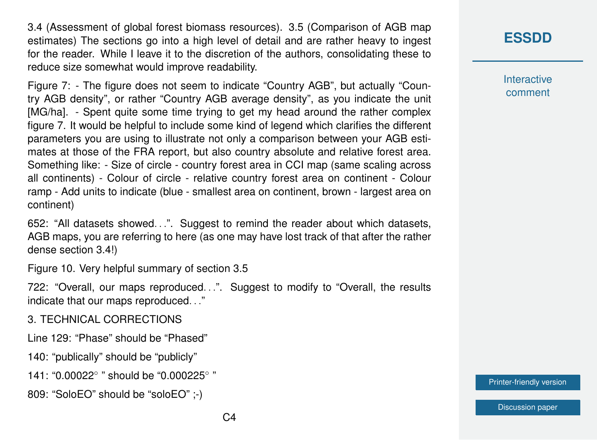3.4 (Assessment of global forest biomass resources). 3.5 (Comparison of AGB map estimates) The sections go into a high level of detail and are rather heavy to ingest for the reader. While I leave it to the discretion of the authors, consolidating these to reduce size somewhat would improve readability.

Figure 7: - The figure does not seem to indicate "Country AGB", but actually "Country AGB density", or rather "Country AGB average density", as you indicate the unit [MG/ha]. - Spent quite some time trying to get my head around the rather complex figure 7. It would be helpful to include some kind of legend which clarifies the different parameters you are using to illustrate not only a comparison between your AGB estimates at those of the FRA report, but also country absolute and relative forest area. Something like: - Size of circle - country forest area in CCI map (same scaling across all continents) - Colour of circle - relative country forest area on continent - Colour ramp - Add units to indicate (blue - smallest area on continent, brown - largest area on continent)

652: "All datasets showed. . .". Suggest to remind the reader about which datasets, AGB maps, you are referring to here (as one may have lost track of that after the rather dense section 3.4!)

Figure 10. Very helpful summary of section 3.5

722: "Overall, our maps reproduced. . .". Suggest to modify to "Overall, the results indicate that our maps reproduced. . ."

3. TECHNICAL CORRECTIONS

Line 129: "Phase" should be "Phased"

140: "publically" should be "publicly"

141: "0.00022° " should be "0.000225° "

809: "SoloEO" should be "soloEO" ;-)

## **[ESSDD](https://essd.copernicus.org/preprints/)**

**Interactive** comment

[Printer-friendly version](https://essd.copernicus.org/preprints/essd-2020-148/essd-2020-148-RC2-print.pdf)